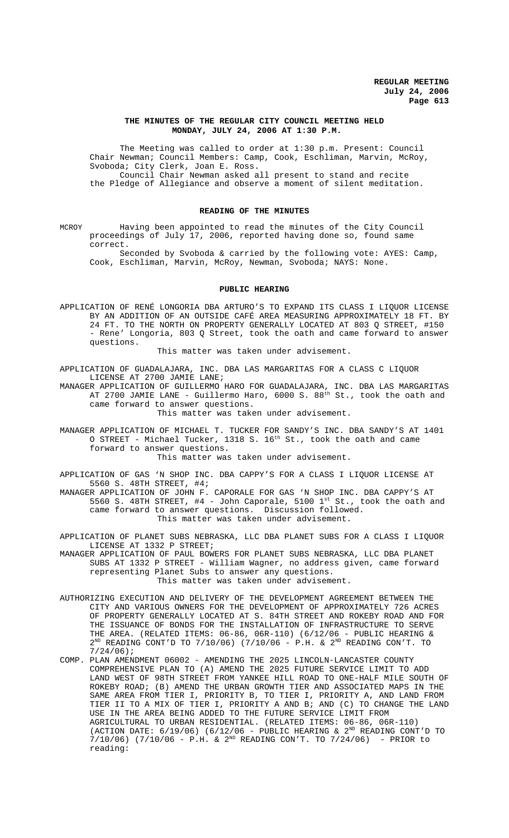#### **THE MINUTES OF THE REGULAR CITY COUNCIL MEETING HELD MONDAY, JULY 24, 2006 AT 1:30 P.M.**

The Meeting was called to order at 1:30 p.m. Present: Council Chair Newman; Council Members: Camp, Cook, Eschliman, Marvin, McRoy, Svoboda; City Clerk, Joan E. Ross. Council Chair Newman asked all present to stand and recite the Pledge of Allegiance and observe a moment of silent meditation.

## **READING OF THE MINUTES**

MCROY Having been appointed to read the minutes of the City Council proceedings of July 17, 2006, reported having done so, found same correct.

Seconded by Svoboda & carried by the following vote: AYES: Camp, Cook, Eschliman, Marvin, McRoy, Newman, Svoboda; NAYS: None.

#### **PUBLIC HEARING**

APPLICATION OF RENÉ LONGORIA DBA ARTURO'S TO EXPAND ITS CLASS I LIQUOR LICENSE BY AN ADDITION OF AN OUTSIDE CAFÉ AREA MEASURING APPROXIMATELY 18 FT. BY 24 FT. TO THE NORTH ON PROPERTY GENERALLY LOCATED AT 803 Q STREET, #150 - Rene' Longoria, 803 Q Street, took the oath and came forward to answer questions.

This matter was taken under advisement.

APPLICATION OF GUADALAJARA, INC. DBA LAS MARGARITAS FOR A CLASS C LIQUOR LICENSE AT 2700 JAMIE LANE;

MANAGER APPLICATION OF GUILLERMO HARO FOR GUADALAJARA, INC. DBA LAS MARGARITAS AT 2700 JAMIE LANE - Guillermo Haro, 6000 S. 88<sup>th</sup> St., took the oath and came forward to answer questions.

This matter was taken under advisement.

MANAGER APPLICATION OF MICHAEL T. TUCKER FOR SANDY'S INC. DBA SANDY'S AT 1401 O STREET - Michael Tucker,  $1318$  S.  $16^{\text{th}}$  St., took the oath and came forward to answer questions.

This matter was taken under advisement.

APPLICATION OF GAS 'N SHOP INC. DBA CAPPY'S FOR A CLASS I LIQUOR LICENSE AT 5560 S. 48TH STREET, #4;

MANAGER APPLICATION OF JOHN F. CAPORALE FOR GAS 'N SHOP INC. DBA CAPPY'S AT 5560 S. 48TH STREET,  $#4$  - John Caporale, 5100  $1^{st}$  St., took the oath and came forward to answer questions. Discussion followed. This matter was taken under advisement.

APPLICATION OF PLANET SUBS NEBRASKA, LLC DBA PLANET SUBS FOR A CLASS I LIQUOR LICENSE AT 1332 P STREET;

MANAGER APPLICATION OF PAUL BOWERS FOR PLANET SUBS NEBRASKA, LLC DBA PLANET SUBS AT 1332 P STREET - William Wagner, no address given, came forward representing Planet Subs to answer any questions. This matter was taken under advisement.

- AUTHORIZING EXECUTION AND DELIVERY OF THE DEVELOPMENT AGREEMENT BETWEEN THE CITY AND VARIOUS OWNERS FOR THE DEVELOPMENT OF APPROXIMATELY 726 ACRES OF PROPERTY GENERALLY LOCATED AT S. 84TH STREET AND ROKEBY ROAD AND FOR THE ISSUANCE OF BONDS FOR THE INSTALLATION OF INFRASTRUCTURE TO SERVE THE AREA. (RELATED ITEMS:  $06-86$ ,  $06R-110$ ) ( $6/12/06$  - PUBLIC HEARING &  $2^{ND}$  READING CONT'D TO 7/10/06) (7/10/06 - P.H. &  $2^{ND}$  READING CON'T. TO 7/24/06);
- COMP. PLAN AMENDMENT 06002 AMENDING THE 2025 LINCOLN-LANCASTER COUNTY COMPREHENSIVE PLAN TO (A) AMEND THE 2025 FUTURE SERVICE LIMIT TO ADD LAND WEST OF 98TH STREET FROM YANKEE HILL ROAD TO ONE-HALF MILE SOUTH OF ROKEBY ROAD; (B) AMEND THE URBAN GROWTH TIER AND ASSOCIATED MAPS IN THE SAME AREA FROM TIER I, PRIORITY B, TO TIER I, PRIORITY A, AND LAND FROM TIER II TO A MIX OF TIER I, PRIORITY A AND B; AND (C) TO CHANGE THE LAND USE IN THE AREA BEING ADDED TO THE FUTURE SERVICE LIMIT FROM AGRICULTURAL TO URBAN RESIDENTIAL. (RELATED ITEMS: 06-86, 06R-110) (ACTION DATE:  $6/19/06$ ) ( $6/12/06$  - PUBLIC HEARING &  $2^{ND}$  READING CONT'D TO  $7/10/06$ ) (7/10/06 - P.H. &  $2^{ND}$  READING CON'T. TO 7/24/06) - PRIOR to reading: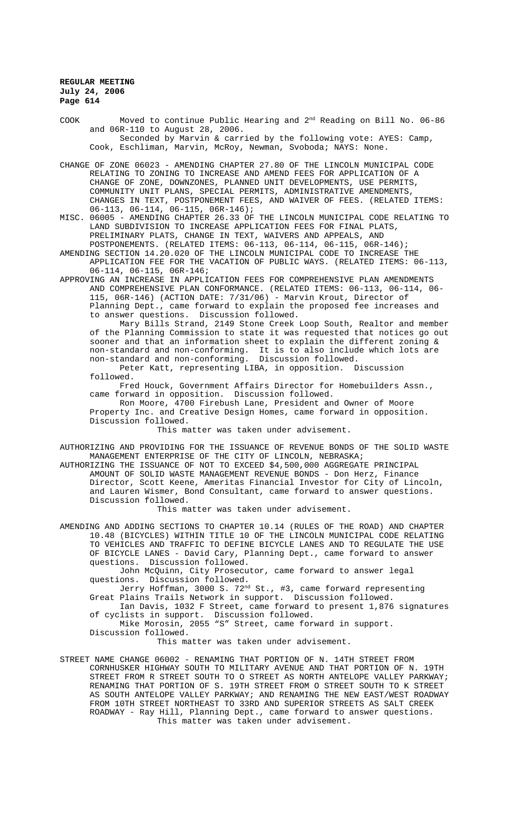COOK Moved to continue Public Hearing and 2nd Reading on Bill No. 06-86 and 06R-110 to August 28, 2006. Seconded by Marvin & carried by the following vote: AYES: Camp, Cook, Eschliman, Marvin, McRoy, Newman, Svoboda; NAYS: None.

CHANGE OF ZONE 06023 - AMENDING CHAPTER 27.80 OF THE LINCOLN MUNICIPAL CODE RELATING TO ZONING TO INCREASE AND AMEND FEES FOR APPLICATION OF A CHANGE OF ZONE, DOWNZONES, PLANNED UNIT DEVELOPMENTS, USE PERMITS, COMMUNITY UNIT PLANS, SPECIAL PERMITS, ADMINISTRATIVE AMENDMENTS, CHANGES IN TEXT, POSTPONEMENT FEES, AND WAIVER OF FEES. (RELATED ITEMS:

06-113, 06-114, 06-115, 06R-146);<br>MISC, 06005 - AMENDING CHAPTER 26.33 OF - AMENDING CHAPTER 26.33 OF THE LINCOLN MUNICIPAL CODE RELATING TO LAND SUBDIVISION TO INCREASE APPLICATION FEES FOR FINAL PLATS, PRELIMINARY PLATS, CHANGE IN TEXT, WAIVERS AND APPEALS, AND POSTPONEMENTS. (RELATED ITEMS: 06-113, 06-114, 06-115, 06R-146);

AMENDING SECTION 14.20.020 OF THE LINCOLN MUNICIPAL CODE TO INCREASE THE APPLICATION FEE FOR THE VACATION OF PUBLIC WAYS. (RELATED ITEMS: 06-113, 06-114, 06-115, 06R-146;

APPROVING AN INCREASE IN APPLICATION FEES FOR COMPREHENSIVE PLAN AMENDMENTS AND COMPREHENSIVE PLAN CONFORMANCE. (RELATED ITEMS: 06-113, 06-114, 06- 115, 06R-146) (ACTION DATE: 7/31/06) - Marvin Krout, Director of Planning Dept., came forward to explain the proposed fee increases and to answer questions. Discussion followed.

Mary Bills Strand, 2149 Stone Creek Loop South, Realtor and member of the Planning Commission to state it was requested that notices go out sooner and that an information sheet to explain the different zoning & non-standard and non-conforming. It is to also include which lots are non-standard and non-conforming. Discussion followed. Peter Katt, representing LIBA, in opposition. Discussion

followed.

Fred Houck, Government Affairs Director for Homebuilders Assn., came forward in opposition. Discussion followed.

Ron Moore, 4700 Firebush Lane, President and Owner of Moore Property Inc. and Creative Design Homes, came forward in opposition. Discussion followed.

This matter was taken under advisement.

AUTHORIZING AND PROVIDING FOR THE ISSUANCE OF REVENUE BONDS OF THE SOLID WASTE MANAGEMENT ENTERPRISE OF THE CITY OF LINCOLN, NEBRASKA;

AUTHORIZING THE ISSUANCE OF NOT TO EXCEED \$4,500,000 AGGREGATE PRINCIPAL AMOUNT OF SOLID WASTE MANAGEMENT REVENUE BONDS - Don Herz, Finance Director, Scott Keene, Ameritas Financial Investor for City of Lincoln, and Lauren Wismer, Bond Consultant, came forward to answer questions. Discussion followed.

This matter was taken under advisement.

AMENDING AND ADDING SECTIONS TO CHAPTER 10.14 (RULES OF THE ROAD) AND CHAPTER 10.48 (BICYCLES) WITHIN TITLE 10 OF THE LINCOLN MUNICIPAL CODE RELATING TO VEHICLES AND TRAFFIC TO DEFINE BICYCLE LANES AND TO REGULATE THE USE OF BICYCLE LANES - David Cary, Planning Dept., came forward to answer questions. Discussion followed.

John McQuinn, City Prosecutor, came forward to answer legal questions. Discussion followed.

Jerry Hoffman, 3000 S. 72nd St., #3, came forward representing Great Plains Trails Network in support. Discussion followed.

Ian Davis, 1032 F Street, came forward to present 1,876 signatures of cyclists in support.

Mike Morosin, 2055 "S" Street, came forward in support.

Discussion followed.

This matter was taken under advisement.

STREET NAME CHANGE 06002 - RENAMING THAT PORTION OF N. 14TH STREET FROM CORNHUSKER HIGHWAY SOUTH TO MILITARY AVENUE AND THAT PORTION OF N. 19TH STREET FROM R STREET SOUTH TO O STREET AS NORTH ANTELOPE VALLEY PARKWAY; RENAMING THAT PORTION OF S. 19TH STREET FROM O STREET SOUTH TO K STREET AS SOUTH ANTELOPE VALLEY PARKWAY; AND RENAMING THE NEW EAST/WEST ROADWAY FROM 10TH STREET NORTHEAST TO 33RD AND SUPERIOR STREETS AS SALT CREEK ROADWAY - Ray Hill, Planning Dept., came forward to answer questions. This matter was taken under advisement.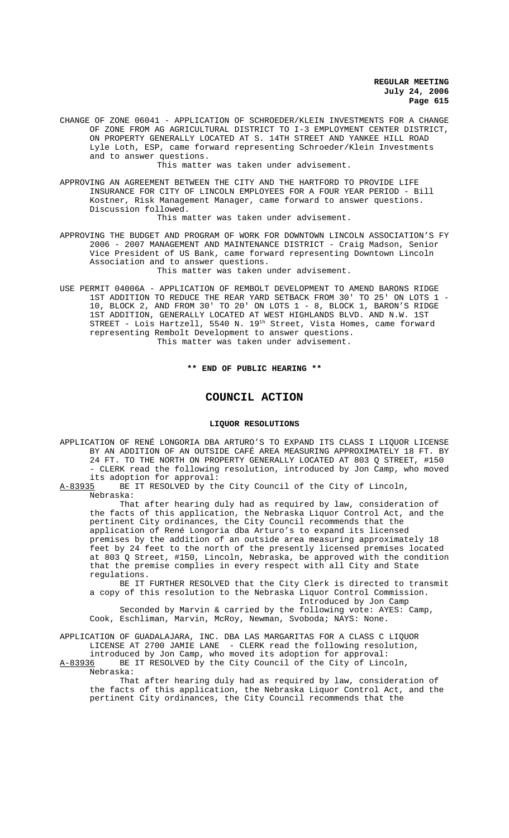CHANGE OF ZONE 06041 - APPLICATION OF SCHROEDER/KLEIN INVESTMENTS FOR A CHANGE OF ZONE FROM AG AGRICULTURAL DISTRICT TO I-3 EMPLOYMENT CENTER DISTRICT, ON PROPERTY GENERALLY LOCATED AT S. 14TH STREET AND YANKEE HILL ROAD Lyle Loth, ESP, came forward representing Schroeder/Klein Investments and to answer questions.

This matter was taken under advisement.

APPROVING AN AGREEMENT BETWEEN THE CITY AND THE HARTFORD TO PROVIDE LIFE INSURANCE FOR CITY OF LINCOLN EMPLOYEES FOR A FOUR YEAR PERIOD - Bill Kostner, Risk Management Manager, came forward to answer questions. Discussion followed.

This matter was taken under advisement.

APPROVING THE BUDGET AND PROGRAM OF WORK FOR DOWNTOWN LINCOLN ASSOCIATION'S FY 2006 - 2007 MANAGEMENT AND MAINTENANCE DISTRICT - Craig Madson, Senior Vice President of US Bank, came forward representing Downtown Lincoln Association and to answer questions.

This matter was taken under advisement.

USE PERMIT 04006A - APPLICATION OF REMBOLT DEVELOPMENT TO AMEND BARONS RIDGE 1ST ADDITION TO REDUCE THE REAR YARD SETBACK FROM 30' TO 25' ON LOTS 1 - 10, BLOCK 2, AND FROM 30' TO 20' ON LOTS 1 - 8, BLOCK 1, BARON'S RIDGE 1ST ADDITION, GENERALLY LOCATED AT WEST HIGHLANDS BLVD. AND N.W. 1ST STREET - Lois Hartzell, 5540 N. 19th Street, Vista Homes, came forward representing Rembolt Development to answer questions. This matter was taken under advisement.

#### **\*\* END OF PUBLIC HEARING \*\***

# **COUNCIL ACTION**

#### **LIQUOR RESOLUTIONS**

APPLICATION OF RENÉ LONGORIA DBA ARTURO'S TO EXPAND ITS CLASS I LIQUOR LICENSE BY AN ADDITION OF AN OUTSIDE CAFÉ AREA MEASURING APPROXIMATELY 18 FT. BY 24 FT. TO THE NORTH ON PROPERTY GENERALLY LOCATED AT 803 Q STREET, #150 - CLERK read the following resolution, introduced by Jon Camp, who moved its adoption for approval:

A-83935 BE IT RESOLVED by the City Council of the City of Lincoln, Nebraska:

That after hearing duly had as required by law, consideration of the facts of this application, the Nebraska Liquor Control Act, and the pertinent City ordinances, the City Council recommends that the application of René Longoria dba Arturo's to expand its licensed premises by the addition of an outside area measuring approximately 18 feet by 24 feet to the north of the presently licensed premises located at 803 Q Street, #150, Lincoln, Nebraska, be approved with the condition that the premise complies in every respect with all City and State regulations.

BE IT FURTHER RESOLVED that the City Clerk is directed to transmit a copy of this resolution to the Nebraska Liquor Control Commission. Introduced by Jon Camp Seconded by Marvin & carried by the following vote: AYES: Camp,

Cook, Eschliman, Marvin, McRoy, Newman, Svoboda; NAYS: None.

APPLICATION OF GUADALAJARA, INC. DBA LAS MARGARITAS FOR A CLASS C LIQUOR LICENSE AT 2700 JAMIE LANE - CLERK read the following resolution, introduced by Jon Camp, who moved its adoption for approval:

A-83936 BE IT RESOLVED by the City Council of the City of Lincoln, Nebraska:

That after hearing duly had as required by law, consideration of the facts of this application, the Nebraska Liquor Control Act, and the pertinent City ordinances, the City Council recommends that the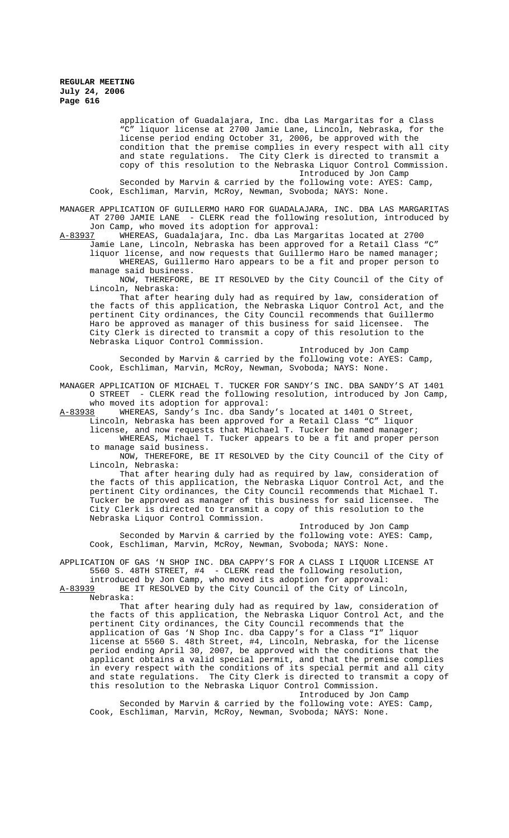> application of Guadalajara, Inc. dba Las Margaritas for a Class "C" liquor license at 2700 Jamie Lane, Lincoln, Nebraska, for the license period ending October 31, 2006, be approved with the condition that the premise complies in every respect with all city and state regulations. The City Clerk is directed to transmit a copy of this resolution to the Nebraska Liquor Control Commission. Introduced by Jon Camp Seconded by Marvin & carried by the following vote: AYES: Camp,

Cook, Eschliman, Marvin, McRoy, Newman, Svoboda; NAYS: None.

MANAGER APPLICATION OF GUILLERMO HARO FOR GUADALAJARA, INC. DBA LAS MARGARITAS AT 2700 JAMIE LANE - CLERK read the following resolution, introduced by Jon Camp, who moved its adoption for approval:<br>A-83937 WHEREAS, Guadalajara, Inc. dba Las Marga

WHEREAS, Guadalajara, Inc. dba Las Margaritas located at 2700 Jamie Lane, Lincoln, Nebraska has been approved for a Retail Class "C"

liquor license, and now requests that Guillermo Haro be named manager; WHEREAS, Guillermo Haro appears to be a fit and proper person to manage said business.

NOW, THEREFORE, BE IT RESOLVED by the City Council of the City of Lincoln, Nebraska:

That after hearing duly had as required by law, consideration of the facts of this application, the Nebraska Liquor Control Act, and the pertinent City ordinances, the City Council recommends that Guillermo Haro be approved as manager of this business for said licensee. City Clerk is directed to transmit a copy of this resolution to the Nebraska Liquor Control Commission.

Introduced by Jon Camp Seconded by Marvin & carried by the following vote: AYES: Camp, Cook, Eschliman, Marvin, McRoy, Newman, Svoboda; NAYS: None.

MANAGER APPLICATION OF MICHAEL T. TUCKER FOR SANDY'S INC. DBA SANDY'S AT 1401 O STREET - CLERK read the following resolution, introduced by Jon Camp, who moved its adoption for approval:

A-83938 WHEREAS, Sandy's Inc. dba Sandy's located at 1401 O Street,

Lincoln, Nebraska has been approved for a Retail Class "C" liquor

license, and now requests that Michael T. Tucker be named manager; WHEREAS, Michael T. Tucker appears to be a fit and proper person

to manage said business.

NOW, THEREFORE, BE IT RESOLVED by the City Council of the City of Lincoln, Nebraska:

That after hearing duly had as required by law, consideration of the facts of this application, the Nebraska Liquor Control Act, and the pertinent City ordinances, the City Council recommends that Michael T. Tucker be approved as manager of this business for said licensee. City Clerk is directed to transmit a copy of this resolution to the Nebraska Liquor Control Commission.

Introduced by Jon Camp Seconded by Marvin & carried by the following vote: AYES: Camp, Cook, Eschliman, Marvin, McRoy, Newman, Svoboda; NAYS: None.

APPLICATION OF GAS 'N SHOP INC. DBA CAPPY'S FOR A CLASS I LIQUOR LICENSE AT 5560 S. 48TH STREET, #4 - CLERK read the following resolution, - CLERK read the following resolution,

introduced by Jon Camp, who moved its adoption for approval:<br>A-83939 BE IT RESOLVED by the City Council of the City of Linc BE IT RESOLVED by the City Council of the City of Lincoln, Nebraska:

That after hearing duly had as required by law, consideration of the facts of this application, the Nebraska Liquor Control Act, and the pertinent City ordinances, the City Council recommends that the application of Gas 'N Shop Inc. dba Cappy's for a Class "I" liquor license at 5560 S. 48th Street, #4, Lincoln, Nebraska, for the license period ending April 30, 2007, be approved with the conditions that the applicant obtains a valid special permit, and that the premise complies in every respect with the conditions of its special permit and all city and state regulations. The City Clerk is directed to transmit a copy of this resolution to the Nebraska Liquor Control Commission. Introduced by Jon Camp

Seconded by Marvin & carried by the following vote: AYES: Camp, Cook, Eschliman, Marvin, McRoy, Newman, Svoboda; NAYS: None.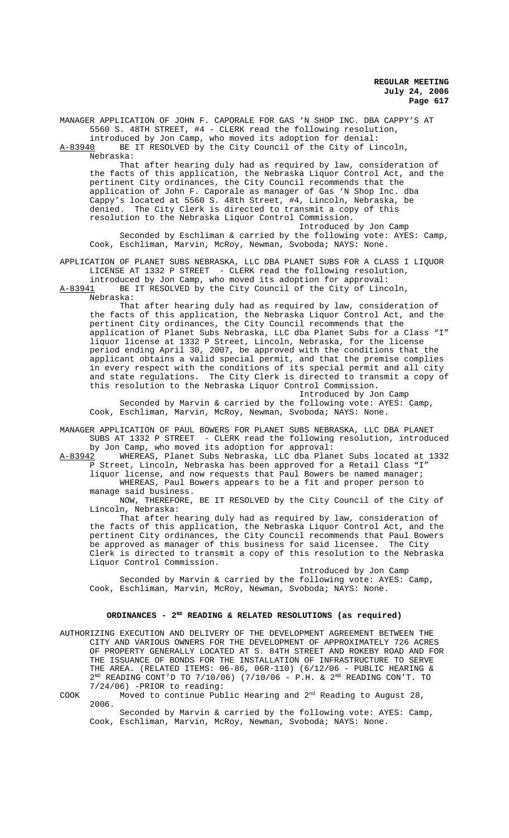MANAGER APPLICATION OF JOHN F. CAPORALE FOR GAS 'N SHOP INC. DBA CAPPY'S AT 5560 S. 48TH STREET, #4 - CLERK read the following resolution, introduced by Jon Camp, who moved its adoption for denial:<br>A-83940 BE IT RESOLVED by the City Council of the City of Li BE IT RESOLVED by the City Council of the City of Lincoln,

Nebraska: That after hearing duly had as required by law, consideration of the facts of this application, the Nebraska Liquor Control Act, and the

pertinent City ordinances, the City Council recommends that the application of John F. Caporale as manager of Gas 'N Shop Inc. dba Cappy's located at 5560 S. 48th Street, #4, Lincoln, Nebraska, be denied. The City Clerk is directed to transmit a copy of this resolution to the Nebraska Liquor Control Commission.

Introduced by Jon Camp Seconded by Eschliman & carried by the following vote: AYES: Camp, Cook, Eschliman, Marvin, McRoy, Newman, Svoboda; NAYS: None.

APPLICATION OF PLANET SUBS NEBRASKA, LLC DBA PLANET SUBS FOR A CLASS I LIQUOR LICENSE AT 1332 P STREET - CLERK read the following resolution,

introduced by Jon Camp, who moved its adoption for approval: A-83941 BE IT RESOLVED by the City Council of the City of Lincoln,

Nebraska:

That after hearing duly had as required by law, consideration of the facts of this application, the Nebraska Liquor Control Act, and the pertinent City ordinances, the City Council recommends that the application of Planet Subs Nebraska, LLC dba Planet Subs for a Class "I" liquor license at 1332 P Street, Lincoln, Nebraska, for the license period ending April 30, 2007, be approved with the conditions that the applicant obtains a valid special permit, and that the premise complies in every respect with the conditions of its special permit and all city and state regulations. The City Clerk is directed to transmit a copy of this resolution to the Nebraska Liquor Control Commission.

Introduced by Jon Camp Seconded by Marvin & carried by the following vote: AYES: Camp, Cook, Eschliman, Marvin, McRoy, Newman, Svoboda; NAYS: None.

MANAGER APPLICATION OF PAUL BOWERS FOR PLANET SUBS NEBRASKA, LLC DBA PLANET SUBS AT 1332 P STREET - CLERK read the following resolution, introduced

by Jon Camp, who moved its adoption for approval:<br>A-83942 WHEREAS, Planet Subs Nebraska, LLC dba Plan WHEREAS, Planet Subs Nebraska, LLC dba Planet Subs located at 1332 P Street, Lincoln, Nebraska has been approved for a Retail Class "I" liquor license, and now requests that Paul Bowers be named manager;

WHEREAS, Paul Bowers appears to be a fit and proper person to manage said business.

NOW, THEREFORE, BE IT RESOLVED by the City Council of the City of Lincoln, Nebraska:

That after hearing duly had as required by law, consideration of the facts of this application, the Nebraska Liquor Control Act, and the pertinent City ordinances, the City Council recommends that Paul Bowers be approved as manager of this business for said licensee. The City Clerk is directed to transmit a copy of this resolution to the Nebraska Liquor Control Commission.

Introduced by Jon Camp Seconded by Marvin & carried by the following vote: AYES: Camp, Cook, Eschliman, Marvin, McRoy, Newman, Svoboda; NAYS: None.

#### ORDINANCES - 2<sup>ND</sup> READING & RELATED RESOLUTIONS (as required)

AUTHORIZING EXECUTION AND DELIVERY OF THE DEVELOPMENT AGREEMENT BETWEEN THE CITY AND VARIOUS OWNERS FOR THE DEVELOPMENT OF APPROXIMATELY 726 ACRES OF PROPERTY GENERALLY LOCATED AT S. 84TH STREET AND ROKEBY ROAD AND FOR THE ISSUANCE OF BONDS FOR THE INSTALLATION OF INFRASTRUCTURE TO SERVE THE AREA. (RELATED ITEMS: 06-86, 06R-110) (6/12/06 - PUBLIC HEARING &  $2^{ND}$  READING CONT'D TO 7/10/06) (7/10/06 - P.H. &  $2^{ND}$  READING CON'T. TO 7/24/06) -PRIOR to reading:

COOK Moved to continue Public Hearing and  $2<sup>nd</sup>$  Reading to August 28, 2006.

Seconded by Marvin & carried by the following vote: AYES: Camp, Cook, Eschliman, Marvin, McRoy, Newman, Svoboda; NAYS: None.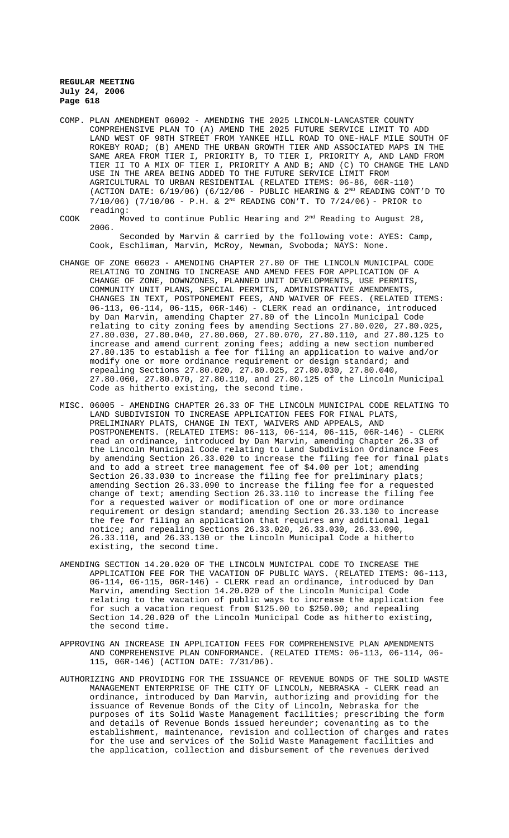COMP. PLAN AMENDMENT 06002 - AMENDING THE 2025 LINCOLN-LANCASTER COUNTY COMPREHENSIVE PLAN TO (A) AMEND THE 2025 FUTURE SERVICE LIMIT TO ADD LAND WEST OF 98TH STREET FROM YANKEE HILL ROAD TO ONE-HALF MILE SOUTH OF ROKEBY ROAD; (B) AMEND THE URBAN GROWTH TIER AND ASSOCIATED MAPS IN THE SAME AREA FROM TIER I, PRIORITY B, TO TIER I, PRIORITY A, AND LAND FROM TIER II TO A MIX OF TIER I, PRIORITY A AND B; AND (C) TO CHANGE THE LAND USE IN THE AREA BEING ADDED TO THE FUTURE SERVICE LIMIT FROM AGRICULTURAL TO URBAN RESIDENTIAL (RELATED ITEMS: 06-86, 06R-110) (ACTION DATE:  $6/19/06$ ) ( $6/12/06$  - PUBLIC HEARING &  $2^{ND}$  READING CONT'D TO  $7/10/06$ ) (7/10/06 - P.H. & 2<sup>ND</sup> READING CON'T. TO 7/24/06) - PRIOR to reading:

COOK Moved to continue Public Hearing and 2nd Reading to August 28, 2006.

Seconded by Marvin & carried by the following vote: AYES: Camp, Cook, Eschliman, Marvin, McRoy, Newman, Svoboda; NAYS: None.

- CHANGE OF ZONE 06023 AMENDING CHAPTER 27.80 OF THE LINCOLN MUNICIPAL CODE RELATING TO ZONING TO INCREASE AND AMEND FEES FOR APPLICATION OF A CHANGE OF ZONE, DOWNZONES, PLANNED UNIT DEVELOPMENTS, USE PERMITS, COMMUNITY UNIT PLANS, SPECIAL PERMITS, ADMINISTRATIVE AMENDMENTS, CHANGES IN TEXT, POSTPONEMENT FEES, AND WAIVER OF FEES. (RELATED ITEMS: 06-113, 06-114, 06-115, 06R-146) - CLERK read an ordinance, introduced by Dan Marvin, amending Chapter 27.80 of the Lincoln Municipal Code relating to city zoning fees by amending Sections 27.80.020, 27.80.025, 27.80.030, 27.80.040, 27.80.060, 27.80.070, 27.80.110, and 27.80.125 to increase and amend current zoning fees; adding a new section numbered 27.80.135 to establish a fee for filing an application to waive and/or modify one or more ordinance requirement or design standard; and repealing Sections 27.80.020, 27.80.025, 27.80.030, 27.80.040, 27.80.060, 27.80.070, 27.80.110, and 27.80.125 of the Lincoln Municipal Code as hitherto existing, the second time.
- MISC. 06005 AMENDING CHAPTER 26.33 OF THE LINCOLN MUNICIPAL CODE RELATING TO LAND SUBDIVISION TO INCREASE APPLICATION FEES FOR FINAL PLATS, PRELIMINARY PLATS, CHANGE IN TEXT, WAIVERS AND APPEALS, AND POSTPONEMENTS. (RELATED ITEMS: 06-113, 06-114, 06-115, 06R-146) - CLERK read an ordinance, introduced by Dan Marvin, amending Chapter 26.33 of the Lincoln Municipal Code relating to Land Subdivision Ordinance Fees by amending Section 26.33.020 to increase the filing fee for final plats and to add a street tree management fee of \$4.00 per lot; amending Section 26.33.030 to increase the filing fee for preliminary plats; amending Section 26.33.090 to increase the filing fee for a requested change of text; amending Section  $26.33.110$  to increase the filing fee for a requested waiver or modification of one or more ordinance requirement or design standard; amending Section 26.33.130 to increase the fee for filing an application that requires any additional legal notice; and repealing Sections 26.33.020, 26.33.030, 26.33.090, 26.33.110, and 26.33.130 or the Lincoln Municipal Code a hitherto existing, the second time.
- AMENDING SECTION 14.20.020 OF THE LINCOLN MUNICIPAL CODE TO INCREASE THE APPLICATION FEE FOR THE VACATION OF PUBLIC WAYS. (RELATED ITEMS: 06-113, 06-114, 06-115, 06R-146) - CLERK read an ordinance, introduced by Dan Marvin, amending Section 14.20.020 of the Lincoln Municipal Code relating to the vacation of public ways to increase the application fee for such a vacation request from \$125.00 to \$250.00; and repealing Section 14.20.020 of the Lincoln Municipal Code as hitherto existing, the second time.
- APPROVING AN INCREASE IN APPLICATION FEES FOR COMPREHENSIVE PLAN AMENDMENTS AND COMPREHENSIVE PLAN CONFORMANCE. (RELATED ITEMS: 06-113, 06-114, 06- 115, 06R-146) (ACTION DATE: 7/31/06).
- AUTHORIZING AND PROVIDING FOR THE ISSUANCE OF REVENUE BONDS OF THE SOLID WASTE MANAGEMENT ENTERPRISE OF THE CITY OF LINCOLN, NEBRASKA - CLERK read an ordinance, introduced by Dan Marvin, authorizing and providing for the issuance of Revenue Bonds of the City of Lincoln, Nebraska for the purposes of its Solid Waste Management facilities; prescribing the form and details of Revenue Bonds issued hereunder; covenanting as to the establishment, maintenance, revision and collection of charges and rates for the use and services of the Solid Waste Management facilities and the application, collection and disbursement of the revenues derived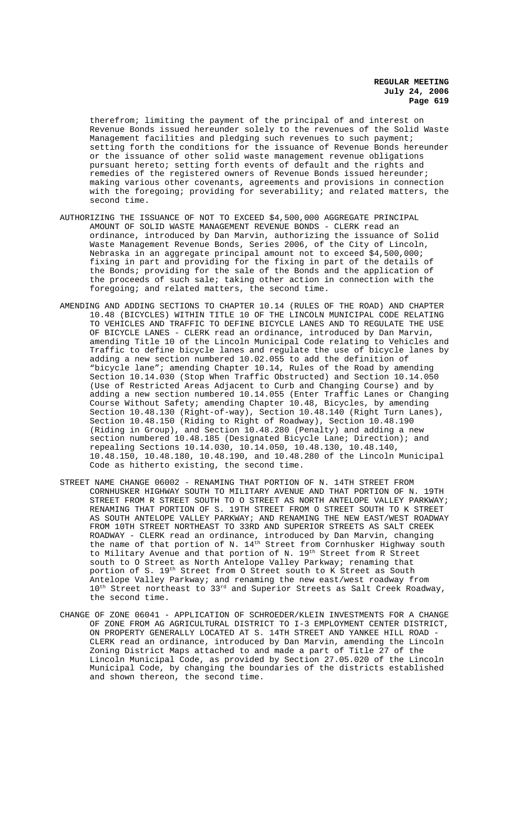therefrom; limiting the payment of the principal of and interest on Revenue Bonds issued hereunder solely to the revenues of the Solid Waste Management facilities and pledging such revenues to such payment; setting forth the conditions for the issuance of Revenue Bonds hereunder or the issuance of other solid waste management revenue obligations pursuant hereto; setting forth events of default and the rights and remedies of the registered owners of Revenue Bonds issued hereunder; making various other covenants, agreements and provisions in connection with the foregoing; providing for severability; and related matters, the second time.

- AUTHORIZING THE ISSUANCE OF NOT TO EXCEED \$4,500,000 AGGREGATE PRINCIPAL AMOUNT OF SOLID WASTE MANAGEMENT REVENUE BONDS - CLERK read an ordinance, introduced by Dan Marvin, authorizing the issuance of Solid Waste Management Revenue Bonds, Series 2006, of the City of Lincoln, Nebraska in an aggregate principal amount not to exceed \$4,500,000; fixing in part and providing for the fixing in part of the details of the Bonds; providing for the sale of the Bonds and the application of the proceeds of such sale; taking other action in connection with the foregoing; and related matters, the second time.
- AMENDING AND ADDING SECTIONS TO CHAPTER 10.14 (RULES OF THE ROAD) AND CHAPTER 10.48 (BICYCLES) WITHIN TITLE 10 OF THE LINCOLN MUNICIPAL CODE RELATING TO VEHICLES AND TRAFFIC TO DEFINE BICYCLE LANES AND TO REGULATE THE USE OF BICYCLE LANES - CLERK read an ordinance, introduced by Dan Marvin, amending Title 10 of the Lincoln Municipal Code relating to Vehicles and Traffic to define bicycle lanes and regulate the use of bicycle lanes by adding a new section numbered 10.02.055 to add the definition of "bicycle lane"; amending Chapter 10.14, Rules of the Road by amending Section 10.14.030 (Stop When Traffic Obstructed) and Section 10.14.050 (Use of Restricted Areas Adjacent to Curb and Changing Course) and by adding a new section numbered 10.14.055 (Enter Traffic Lanes or Changing Course Without Safety; amending Chapter 10.48, Bicycles, by amending Section 10.48.130 (Right-of-way), Section 10.48.140 (Right Turn Lanes), Section 10.48.150 (Riding to Right of Roadway), Section 10.48.190 (Riding in Group), and Section 10.48.280 (Penalty) and adding a new section numbered 10.48.185 (Designated Bicycle Lane; Direction); and repealing Sections 10.14.030, 10.14.050, 10.48.130, 10.48.140, 10.48.150, 10.48.180, 10.48.190, and 10.48.280 of the Lincoln Municipal Code as hitherto existing, the second time.
- STREET NAME CHANGE 06002 RENAMING THAT PORTION OF N. 14TH STREET FROM CORNHUSKER HIGHWAY SOUTH TO MILITARY AVENUE AND THAT PORTION OF N. 19TH STREET FROM R STREET SOUTH TO O STREET AS NORTH ANTELOPE VALLEY PARKWAY; RENAMING THAT PORTION OF S. 19TH STREET FROM O STREET SOUTH TO K STREET AS SOUTH ANTELOPE VALLEY PARKWAY; AND RENAMING THE NEW EAST/WEST ROADWAY FROM 10TH STREET NORTHEAST TO 33RD AND SUPERIOR STREETS AS SALT CREEK ROADWAY - CLERK read an ordinance, introduced by Dan Marvin, changing the name of that portion of N.  $14<sup>th</sup>$  Street from Cornhusker Highway south to Military Avenue and that portion of N. 19<sup>th</sup> Street from R Street south to O Street as North Antelope Valley Parkway; renaming that portion of S. 19th Street from O Street south to K Street as South Antelope Valley Parkway; and renaming the new east/west roadway from  $10^{\text{th}}$  Street northeast to 33rd and Superior Streets as Salt Creek Roadway, the second time.
- CHANGE OF ZONE 06041 APPLICATION OF SCHROEDER/KLEIN INVESTMENTS FOR A CHANGE OF ZONE FROM AG AGRICULTURAL DISTRICT TO I-3 EMPLOYMENT CENTER DISTRICT, ON PROPERTY GENERALLY LOCATED AT S. 14TH STREET AND YANKEE HILL ROAD  $\cdot$ CLERK read an ordinance, introduced by Dan Marvin, amending the Lincoln Zoning District Maps attached to and made a part of Title 27 of the Lincoln Municipal Code, as provided by Section 27.05.020 of the Lincoln Municipal Code, by changing the boundaries of the districts established and shown thereon, the second time.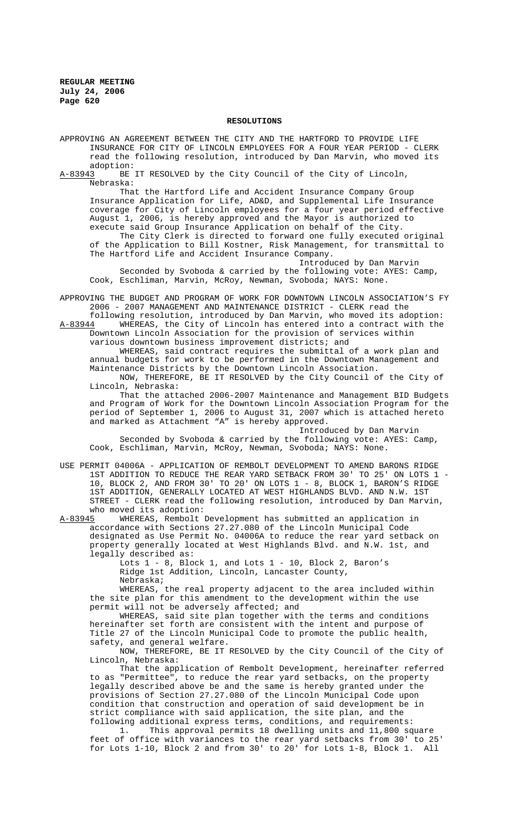#### **RESOLUTIONS**

- APPROVING AN AGREEMENT BETWEEN THE CITY AND THE HARTFORD TO PROVIDE LIFE INSURANCE FOR CITY OF LINCOLN EMPLOYEES FOR A FOUR YEAR PERIOD - CLERK read the following resolution, introduced by Dan Marvin, who moved its
- adoption:<br>A-83943 BE BE IT RESOLVED by the City Council of the City of Lincoln, Nebraska:

That the Hartford Life and Accident Insurance Company Group Insurance Application for Life, AD&D, and Supplemental Life Insurance coverage for City of Lincoln employees for a four year period effective August 1, 2006, is hereby approved and the Mayor is authorized to execute said Group Insurance Application on behalf of the City.

The City Clerk is directed to forward one fully executed original of the Application to Bill Kostner, Risk Management, for transmittal to The Hartford Life and Accident Insurance Company.

Introduced by Dan Marvin Seconded by Svoboda & carried by the following vote: AYES: Camp, Cook, Eschliman, Marvin, McRoy, Newman, Svoboda; NAYS: None.

APPROVING THE BUDGET AND PROGRAM OF WORK FOR DOWNTOWN LINCOLN ASSOCIATION'S FY 2006 - 2007 MANAGEMENT AND MAINTENANCE DISTRICT - CLERK read the

following resolution, introduced by Dan Marvin, who moved its adoption:<br>A-83944 WHEREAS, the City of Lincoln has entered into a contract with the WHEREAS, the City of Lincoln has entered into a contract with the Downtown Lincoln Association for the provision of services within various downtown business improvement districts; and

WHEREAS, said contract requires the submittal of a work plan and annual budgets for work to be performed in the Downtown Management and Maintenance Districts by the Downtown Lincoln Association.

NOW, THEREFORE, BE IT RESOLVED by the City Council of the City of Lincoln, Nebraska:

That the attached 2006-2007 Maintenance and Management BID Budgets and Program of Work for the Downtown Lincoln Association Program for the period of September 1, 2006 to August 31, 2007 which is attached hereto and marked as Attachment "A" is hereby approved.

Introduced by Dan Marvin Seconded by Svoboda & carried by the following vote: AYES: Camp, Cook, Eschliman, Marvin, McRoy, Newman, Svoboda; NAYS: None.

USE PERMIT 04006A - APPLICATION OF REMBOLT DEVELOPMENT TO AMEND BARONS RIDGE 1ST ADDITION TO REDUCE THE REAR YARD SETBACK FROM 30' TO 25' ON LOTS 1 - 10, BLOCK 2, AND FROM 30' TO 20' ON LOTS 1 - 8, BLOCK 1, BARON'S RIDGE 1ST ADDITION, GENERALLY LOCATED AT WEST HIGHLANDS BLVD. AND N.W. 1ST STREET - CLERK read the following resolution, introduced by Dan Marvin, who moved its adoption:<br>A-83945 WHEREAS, Rembolt

WHEREAS, Rembolt Development has submitted an application in accordance with Sections 27.27.080 of the Lincoln Municipal Code designated as Use Permit No. 04006A to reduce the rear yard setback on property generally located at West Highlands Blvd. and N.W. 1st, and legally described as:

Lots  $1 - 8$ , Block 1, and Lots  $1 - 10$ , Block 2, Baron's Ridge 1st Addition, Lincoln, Lancaster County, Nebraska;

WHEREAS, the real property adjacent to the area included within the site plan for this amendment to the development within the use permit will not be adversely affected; and

WHEREAS, said site plan together with the terms and conditions hereinafter set forth are consistent with the intent and purpose of Title 27 of the Lincoln Municipal Code to promote the public health, safety, and general welfare.

NOW, THEREFORE, BE IT RESOLVED by the City Council of the City of Lincoln, Nebraska:

That the application of Rembolt Development, hereinafter referred to as "Permittee", to reduce the rear yard setbacks, on the property legally described above be and the same is hereby granted under the provisions of Section 27.27.080 of the Lincoln Municipal Code upon condition that construction and operation of said development be in strict compliance with said application, the site plan, and the following additional express terms, conditions, and requirements:

1. This approval permits 18 dwelling units and 11,800 square feet of office with variances to the rear yard setbacks from 30' to 25' for Lots 1-10, Block 2 and from 30' to 20' for Lots 1-8, Block 1. All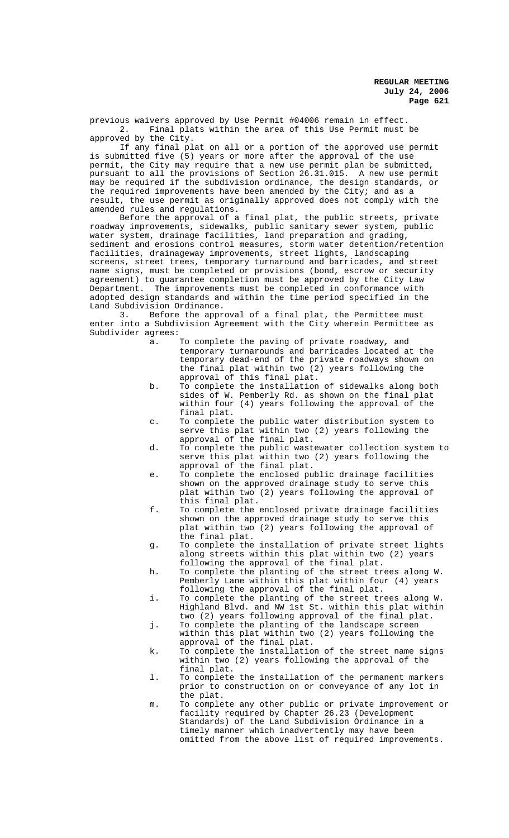previous waivers approved by Use Permit #04006 remain in effect. 2. Final plats within the area of this Use Permit must be approved by the City.

If any final plat on all or a portion of the approved use permit is submitted five (5) years or more after the approval of the use permit, the City may require that a new use permit plan be submitted, pursuant to all the provisions of Section 26.31.015. A new use permit may be required if the subdivision ordinance, the design standards, or the required improvements have been amended by the City; and as a result, the use permit as originally approved does not comply with the amended rules and regulations.

Before the approval of a final plat, the public streets, private roadway improvements, sidewalks, public sanitary sewer system, public water system, drainage facilities, land preparation and grading, sediment and erosions control measures, storm water detention/retention facilities, drainageway improvements, street lights, landscaping screens, street trees, temporary turnaround and barricades, and street name signs, must be completed or provisions (bond, escrow or security agreement) to guarantee completion must be approved by the City Law Department. The improvements must be completed in conformance with adopted design standards and within the time period specified in the Land Subdivision Ordinance.

3. Before the approval of a final plat, the Permittee must enter into a Subdivision Agreement with the City wherein Permittee as Subdivider agrees:

- a. To complete the paving of private roadway*,* and temporary turnarounds and barricades located at the temporary dead-end of the private roadways shown on the final plat within two (2) years following the approval of this final plat.
- b. To complete the installation of sidewalks along both sides of W. Pemberly Rd. as shown on the final plat within four (4) years following the approval of the final plat.
- c. To complete the public water distribution system to serve this plat within two (2) years following the approval of the final plat.
- d. To complete the public wastewater collection system to serve this plat within two (2) years following the approval of the final plat.
- e. To complete the enclosed public drainage facilities shown on the approved drainage study to serve this plat within two (2) years following the approval of this final plat.
- f. To complete the enclosed private drainage facilities shown on the approved drainage study to serve this plat within two (2) years following the approval of the final plat.
- g. To complete the installation of private street lights along streets within this plat within two (2) years following the approval of the final plat.
- h. To complete the planting of the street trees along W. Pemberly Lane within this plat within four (4) years following the approval of the final plat.
- i. To complete the planting of the street trees along W. Highland Blvd. and NW 1st St. within this plat within two (2) years following approval of the final plat.
- j. To complete the planting of the landscape screen within this plat within two (2) years following the approval of the final plat.
- k. To complete the installation of the street name signs within two (2) years following the approval of the final plat.
- l. To complete the installation of the permanent markers prior to construction on or conveyance of any lot in the plat.
- m. To complete any other public or private improvement or facility required by Chapter 26.23 (Development Standards) of the Land Subdivision Ordinance in a timely manner which inadvertently may have been omitted from the above list of required improvements.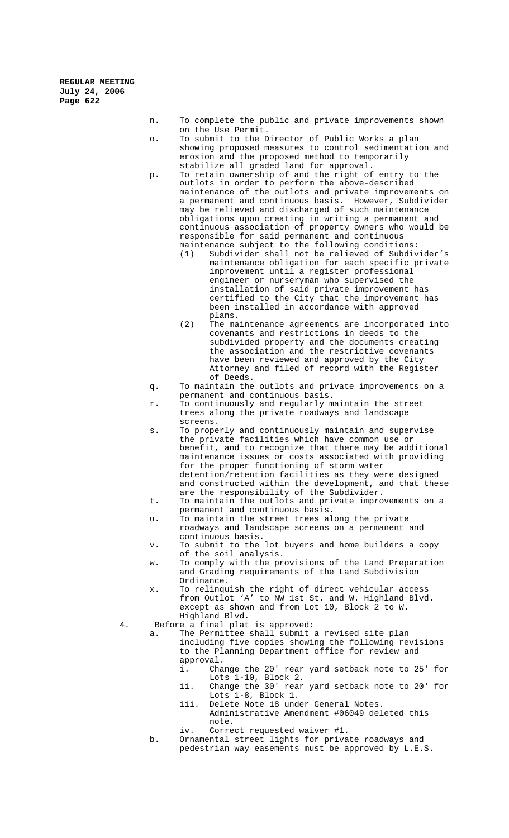- n. To complete the public and private improvements shown on the Use Permit.
- o. To submit to the Director of Public Works a plan showing proposed measures to control sedimentation and erosion and the proposed method to temporarily stabilize all graded land for approval.
- p. To retain ownership of and the right of entry to the outlots in order to perform the above-described maintenance of the outlots and private improvements on a permanent and continuous basis. However, Subdivider may be relieved and discharged of such maintenance obligations upon creating in writing a permanent and continuous association of property owners who would be responsible for said permanent and continuous maintenance subject to the following conditions:
	- (1) Subdivider shall not be relieved of Subdivider's maintenance obligation for each specific private improvement until a register professional engineer or nurseryman who supervised the installation of said private improvement has certified to the City that the improvement has been installed in accordance with approved plans.
	- (2) The maintenance agreements are incorporated into covenants and restrictions in deeds to the subdivided property and the documents creating the association and the restrictive covenants have been reviewed and approved by the City Attorney and filed of record with the Register of Deeds.
- q. To maintain the outlots and private improvements on a permanent and continuous basis.
- r. To continuously and regularly maintain the street trees along the private roadways and landscape screens.
- s. To properly and continuously maintain and supervise the private facilities which have common use or benefit, and to recognize that there may be additional maintenance issues or costs associated with providing for the proper functioning of storm water detention/retention facilities as they were designed and constructed within the development, and that these are the responsibility of the Subdivider.
- t. To maintain the outlots and private improvements on a
- permanent and continuous basis.
- u. To maintain the street trees along the private roadways and landscape screens on a permanent and continuous basis.
- v. To submit to the lot buyers and home builders a copy of the soil analysis.
- w. To comply with the provisions of the Land Preparation and Grading requirements of the Land Subdivision Ordinance.
- x. To relinquish the right of direct vehicular access from Outlot 'A' to NW 1st St. and W. Highland Blvd. except as shown and from Lot 10, Block 2 to W. Highland Blvd.
- 4. Before a final plat is approved:
	- a. The Permittee shall submit a revised site plan including five copies showing the following revisions to the Planning Department office for review and approval.<br>i. Cha
		- Change the 20' rear yard setback note to 25' for Lots 1-10, Block 2.
		- ii. Change the 30' rear yard setback note to 20' for Lots 1-8, Block 1.
		- iii. Delete Note 18 under General Notes. Administrative Amendment #06049 deleted this note.
		- iv. Correct requested waiver #1.
	- b. Ornamental street lights for private roadways and pedestrian way easements must be approved by L.E.S.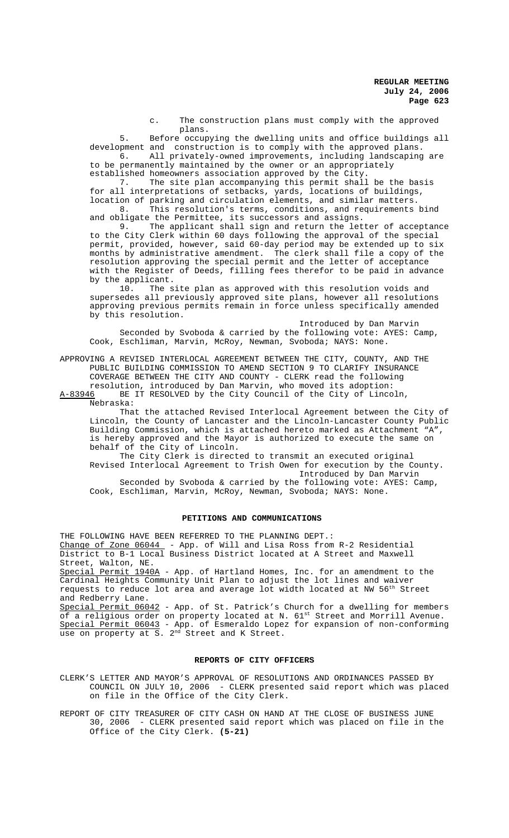c. The construction plans must comply with the approved plans.

5. Before occupying the dwelling units and office buildings all development and construction is to comply with the approved plans.<br>6. All privately-owned improvements, including landscaping 6. All privately-owned improvements, including landscaping are

to be permanently maintained by the owner or an appropriately

established homeowners association approved by the City.

7. The site plan accompanying this permit shall be the basis for all interpretations of setbacks, yards, locations of buildings, location of parking and circulation elements, and similar matters. 8. This resolution's terms, conditions, and requirements bind

and obligate the Permittee, its successors and assigns. 9. The applicant shall sign and return the letter of acceptance to the City Clerk within 60 days following the approval of the special permit, provided, however, said 60-day period may be extended up to six months by administrative amendment. The clerk shall file a copy of the resolution approving the special permit and the letter of acceptance with the Register of Deeds, filling fees therefor to be paid in advance by the applicant.

10. The site plan as approved with this resolution voids and supersedes all previously approved site plans, however all resolutions approving previous permits remain in force unless specifically amended by this resolution.

Introduced by Dan Marvin Seconded by Svoboda & carried by the following vote: AYES: Camp, Cook, Eschliman, Marvin, McRoy, Newman, Svoboda; NAYS: None.

APPROVING A REVISED INTERLOCAL AGREEMENT BETWEEN THE CITY, COUNTY, AND THE PUBLIC BUILDING COMMISSION TO AMEND SECTION 9 TO CLARIFY INSURANCE COVERAGE BETWEEN THE CITY AND COUNTY - CLERK read the following resolution, introduced by Dan Marvin, who moved its adoption:

A-83946 BE IT RESOLVED by the City Council of the City of Lincoln, Nebraska:

That the attached Revised Interlocal Agreement between the City of Lincoln, the County of Lancaster and the Lincoln-Lancaster County Public Building Commission, which is attached hereto marked as Attachment "A", is hereby approved and the Mayor is authorized to execute the same on behalf of the City of Lincoln.

The City Clerk is directed to transmit an executed original Revised Interlocal Agreement to Trish Owen for execution by the County. Introduced by Dan Marvin

Seconded by Svoboda & carried by the following vote: AYES: Camp, Cook, Eschliman, Marvin, McRoy, Newman, Svoboda; NAYS: None.

## **PETITIONS AND COMMUNICATIONS**

THE FOLLOWING HAVE BEEN REFERRED TO THE PLANNING DEPT.: Change of Zone 06044 - App. of Will and Lisa Ross from R-2 Residential District to B-1 Local Business District located at A Street and Maxwell Street, Walton, NE.

Special Permit 1940A - App. of Hartland Homes, Inc. for an amendment to the Cardinal Heights Community Unit Plan to adjust the lot lines and waiver requests to reduce lot area and average lot width located at NW 56<sup>th</sup> Street and Redberry Lane.

Special Permit 06042 - App. of St. Patrick's Church for a dwelling for members of a religious order on property located at N. 61st Street and Morrill Avenue. Special Permit 06043 - App. of Esmeraldo Lopez for expansion of non-conforming use on property at S. 2<sup>nd</sup> Street and K Street.

# **REPORTS OF CITY OFFICERS**

CLERK'S LETTER AND MAYOR'S APPROVAL OF RESOLUTIONS AND ORDINANCES PASSED BY COUNCIL ON JULY 10, 2006 - CLERK presented said report which was placed on file in the Office of the City Clerk.

REPORT OF CITY TREASURER OF CITY CASH ON HAND AT THE CLOSE OF BUSINESS JUNE 30, 2006 - CLERK presented said report which was placed on file in the Office of the City Clerk. **(5-21)**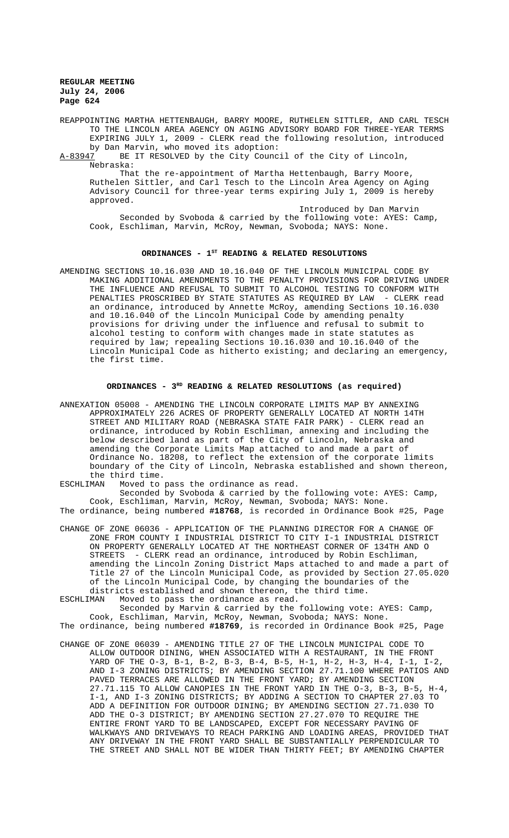REAPPOINTING MARTHA HETTENBAUGH, BARRY MOORE, RUTHELEN SITTLER, AND CARL TESCH TO THE LINCOLN AREA AGENCY ON AGING ADVISORY BOARD FOR THREE-YEAR TERMS EXPIRING JULY 1, 2009 - CLERK read the following resolution, introduced

by Dan Marvin, who moved its adoption:<br>A-83947 BE IT RESOLVED by the City Counc BE IT RESOLVED by the City Council of the City of Lincoln, Nebraska:

That the re-appointment of Martha Hettenbaugh, Barry Moore, Ruthelen Sittler, and Carl Tesch to the Lincoln Area Agency on Aging Advisory Council for three-year terms expiring July 1, 2009 is hereby approved.

Introduced by Dan Marvin Seconded by Svoboda & carried by the following vote: AYES: Camp, Cook, Eschliman, Marvin, McRoy, Newman, Svoboda; NAYS: None.

# ORDINANCES - 1<sup>st</sup> READING & RELATED RESOLUTIONS

AMENDING SECTIONS 10.16.030 AND 10.16.040 OF THE LINCOLN MUNICIPAL CODE BY MAKING ADDITIONAL AMENDMENTS TO THE PENALTY PROVISIONS FOR DRIVING UNDER THE INFLUENCE AND REFUSAL TO SUBMIT TO ALCOHOL TESTING TO CONFORM WITH PENALTIES PROSCRIBED BY STATE STATUTES AS REQUIRED BY LAW - CLERK read an ordinance, introduced by Annette McRoy, amending Sections 10.16.030 and 10.16.040 of the Lincoln Municipal Code by amending penalty provisions for driving under the influence and refusal to submit to alcohol testing to conform with changes made in state statutes as required by law; repealing Sections 10.16.030 and 10.16.040 of the Lincoln Municipal Code as hitherto existing; and declaring an emergency, the first time.

# **ORDINANCES - 3RD READING & RELATED RESOLUTIONS (as required)**

ANNEXATION 05008 - AMENDING THE LINCOLN CORPORATE LIMITS MAP BY ANNEXING APPROXIMATELY 226 ACRES OF PROPERTY GENERALLY LOCATED AT NORTH 14TH STREET AND MILITARY ROAD (NEBRASKA STATE FAIR PARK) - CLERK read an ordinance, introduced by Robin Eschliman, annexing and including the below described land as part of the City of Lincoln, Nebraska and amending the Corporate Limits Map attached to and made a part of Ordinance No. 18208, to reflect the extension of the corporate limits boundary of the City of Lincoln, Nebraska established and shown thereon, the third time.<br>ESCHLIMAN Moved to

Moved to pass the ordinance as read.

Seconded by Svoboda & carried by the following vote: AYES: Camp, Cook, Eschliman, Marvin, McRoy, Newman, Svoboda; NAYS: None. The ordinance, being numbered **#18768**, is recorded in Ordinance Book #25, Page

CHANGE OF ZONE 06036 - APPLICATION OF THE PLANNING DIRECTOR FOR A CHANGE OF ZONE FROM COUNTY I INDUSTRIAL DISTRICT TO CITY I-1 INDUSTRIAL DISTRICT ON PROPERTY GENERALLY LOCATED AT THE NORTHEAST CORNER OF 134TH AND O STREETS - CLERK read an ordinance, introduced by Robin Eschliman, amending the Lincoln Zoning District Maps attached to and made a part of Title 27 of the Lincoln Municipal Code, as provided by Section 27.05.020 of the Lincoln Municipal Code, by changing the boundaries of the districts established and shown thereon, the third time.<br>ESCHLIMAN Woved to pass the ordinance as read.

Moved to pass the ordinance as read. Seconded by Marvin & carried by the following vote: AYES: Camp, Cook, Eschliman, Marvin, McRoy, Newman, Svoboda; NAYS: None.

The ordinance, being numbered **#18769**, is recorded in Ordinance Book #25, Page

CHANGE OF ZONE 06039 - AMENDING TITLE 27 OF THE LINCOLN MUNICIPAL CODE TO ALLOW OUTDOOR DINING, WHEN ASSOCIATED WITH A RESTAURANT, IN THE FRONT YARD OF THE O-3, B-1, B-2, B-3, B-4, B-5, H-1, H-2, H-3, H-4, I-1, I-2, AND I-3 ZONING DISTRICTS; BY AMENDING SECTION 27.71.100 WHERE PATIOS AND PAVED TERRACES ARE ALLOWED IN THE FRONT YARD; BY AMENDING SECTION 27.71.115 TO ALLOW CANOPIES IN THE FRONT YARD IN THE O-3, B-3, B-5, H-4, I-1, AND I-3 ZONING DISTRICTS; BY ADDING A SECTION TO CHAPTER 27.03 TO ADD A DEFINITION FOR OUTDOOR DINING; BY AMENDING SECTION 27.71.030 TO ADD THE O-3 DISTRICT; BY AMENDING SECTION 27.27.070 TO REQUIRE THE ENTIRE FRONT YARD TO BE LANDSCAPED, EXCEPT FOR NECESSARY PAVING OF WALKWAYS AND DRIVEWAYS TO REACH PARKING AND LOADING AREAS, PROVIDED THAT ANY DRIVEWAY IN THE FRONT YARD SHALL BE SUBSTANTIALLY PERPENDICULAR TO THE STREET AND SHALL NOT BE WIDER THAN THIRTY FEET; BY AMENDING CHAPTER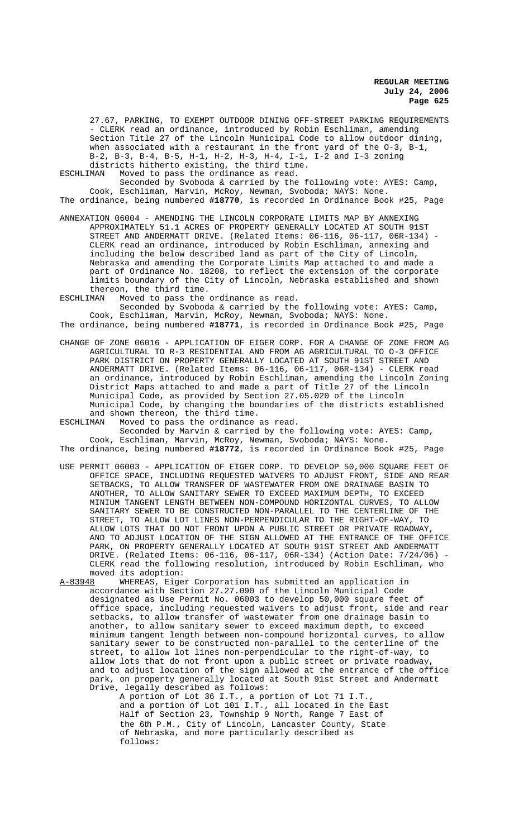27.67, PARKING, TO EXEMPT OUTDOOR DINING OFF-STREET PARKING REQUIREMENTS - CLERK read an ordinance, introduced by Robin Eschliman, amending Section Title 27 of the Lincoln Municipal Code to allow outdoor dining, when associated with a restaurant in the front yard of the O-3, B-1, B-2, B-3, B-4, B-5, H-1, H-2, H-3, H-4, I-1, I-2 and I-3 zoning districts hitherto existing, the third time.<br>ESCHLIMAN Moved to pass the ordinance as read.

Moved to pass the ordinance as read.

Seconded by Svoboda & carried by the following vote: AYES: Camp, Cook, Eschliman, Marvin, McRoy, Newman, Svoboda; NAYS: None. The ordinance, being numbered **#18770**, is recorded in Ordinance Book #25, Page

ANNEXATION 06004 - AMENDING THE LINCOLN CORPORATE LIMITS MAP BY ANNEXING APPROXIMATELY 51.1 ACRES OF PROPERTY GENERALLY LOCATED AT SOUTH 91ST STREET AND ANDERMATT DRIVE. (Related Items: 06-116, 06-117, 06R-134) - CLERK read an ordinance, introduced by Robin Eschliman, annexing and including the below described land as part of the City of Lincoln, Nebraska and amending the Corporate Limits Map attached to and made a part of Ordinance No. 18208, to reflect the extension of the corporate limits boundary of the City of Lincoln, Nebraska established and shown

thereon, the third time.<br>ESCHLIMAN Moved to pass the Moved to pass the ordinance as read. Seconded by Svoboda & carried by the following vote: AYES: Camp,

Cook, Eschliman, Marvin, McRoy, Newman, Svoboda; NAYS: None. The ordinance, being numbered **#18771**, is recorded in Ordinance Book #25, Page

CHANGE OF ZONE 06016 - APPLICATION OF EIGER CORP. FOR A CHANGE OF ZONE FROM AG AGRICULTURAL TO R-3 RESIDENTIAL AND FROM AG AGRICULTURAL TO O-3 OFFICE PARK DISTRICT ON PROPERTY GENERALLY LOCATED AT SOUTH 91ST STREET AND ANDERMATT DRIVE. (Related Items: 06-116, 06-117, 06R-134) - CLERK read an ordinance, introduced by Robin Eschliman, amending the Lincoln Zoning District Maps attached to and made a part of Title 27 of the Lincoln Municipal Code, as provided by Section 27.05.020 of the Lincoln Municipal Code, by changing the boundaries of the districts established and shown thereon, the third time.

ESCHLIMAN Moved to pass the ordinance as read. Seconded by Marvin & carried by the following vote: AYES: Camp, Cook, Eschliman, Marvin, McRoy, Newman, Svoboda; NAYS: None.

The ordinance, being numbered **#18772**, is recorded in Ordinance Book #25, Page

- USE PERMIT 06003 APPLICATION OF EIGER CORP. TO DEVELOP 50,000 SQUARE FEET OF OFFICE SPACE, INCLUDING REQUESTED WAIVERS TO ADJUST FRONT, SIDE AND REAR SETBACKS, TO ALLOW TRANSFER OF WASTEWATER FROM ONE DRAINAGE BASIN TO ANOTHER, TO ALLOW SANITARY SEWER TO EXCEED MAXIMUM DEPTH, TO EXCEED MINIUM TANGENT LENGTH BETWEEN NON-COMPOUND HORIZONTAL CURVES, TO ALLOW SANITARY SEWER TO BE CONSTRUCTED NON-PARALLEL TO THE CENTERLINE OF THE STREET. TO ALLOW LOT LINES NON-PERPENDICULER TO THE RIGHT-OF-WAY. TO STREET, TO ALLOW LOT LINES NON-PERPENDICULAR TO THE RIGHT-OF-WAY, ALLOW LOTS THAT DO NOT FRONT UPON A PUBLIC STREET OR PRIVATE ROADWAY, AND TO ADJUST LOCATION OF THE SIGN ALLOWED AT THE ENTRANCE OF THE OFFICE PARK, ON PROPERTY GENERALLY LOCATED AT SOUTH 91ST STREET AND ANDERMATT DRIVE. (Related Items: 06-116, 06-117, 06R-134) (Action Date: 7/24/06) CLERK read the following resolution, introduced by Robin Eschliman, who moved its adoption:<br>A-83948 WHEREAS, Eige
- WHEREAS, Eiger Corporation has submitted an application in accordance with Section 27.27.090 of the Lincoln Municipal Code designated as Use Permit No. 06003 to develop 50,000 square feet of office space, including requested waivers to adjust front, side and rear setbacks, to allow transfer of wastewater from one drainage basin to another, to allow sanitary sewer to exceed maximum depth, to exceed minimum tangent length between non-compound horizontal curves, to allow sanitary sewer to be constructed non-parallel to the centerline of the street, to allow lot lines non-perpendicular to the right-of-way, to allow lots that do not front upon a public street or private roadway and to adjust location of the sign allowed at the entrance of the office park, on property generally located at South 91st Street and Andermatt Drive, legally described as follows:

A portion of Lot 36 I.T., a portion of Lot 71 I.T., and a portion of Lot 101 I.T., all located in the East Half of Section 23, Township 9 North, Range 7 East of the 6th P.M., City of Lincoln, Lancaster County, State of Nebraska, and more particularly described as follows: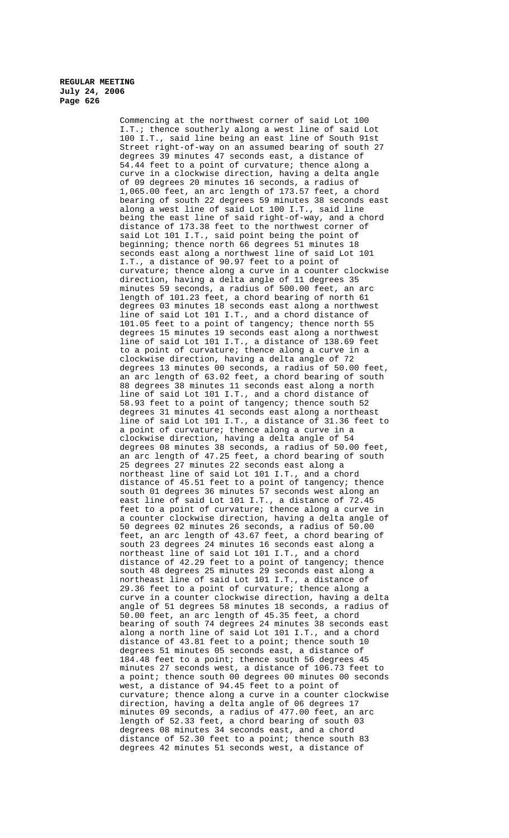Commencing at the northwest corner of said Lot 100 I.T.; thence southerly along a west line of said Lot 100 I.T., said line being an east line of South 91st Street right-of-way on an assumed bearing of south 27 degrees 39 minutes 47 seconds east, a distance of 54.44 feet to a point of curvature; thence along a curve in a clockwise direction, having a delta angle of 09 degrees 20 minutes 16 seconds, a radius of 1,065.00 feet, an arc length of 173.57 feet, a chord bearing of south 22 degrees 59 minutes 38 seconds east along a west line of said Lot 100 I.T., said line being the east line of said right-of-way, and a chord distance of 173.38 feet to the northwest corner of said Lot 101 I.T., said point being the point of beginning; thence north 66 degrees 51 minutes 18 seconds east along a northwest line of said Lot 101 I.T., a distance of 90.97 feet to a point of curvature; thence along a curve in a counter clockwise direction, having a delta angle of 11 degrees 35 minutes 59 seconds, a radius of 500.00 feet, an arc length of 101.23 feet, a chord bearing of north 61 degrees 03 minutes 18 seconds east along a northwest line of said Lot 101 I.T., and a chord distance of 101.05 feet to a point of tangency; thence north 55 degrees 15 minutes 19 seconds east along a northwest line of said Lot 101 I.T., a distance of 138.69 feet to a point of curvature; thence along a curve in a clockwise direction, having a delta angle of 72 degrees 13 minutes 00 seconds, a radius of 50.00 feet, an arc length of 63.02 feet, a chord bearing of south 88 degrees 38 minutes 11 seconds east along a north line of said Lot 101 I.T., and a chord distance of 58.93 feet to a point of tangency; thence south 52 degrees 31 minutes 41 seconds east along a northeast line of said Lot 101 I.T., a distance of 31.36 feet to a point of curvature; thence along a curve in a clockwise direction, having a delta angle of 54 degrees 08 minutes 38 seconds, a radius of 50.00 feet, an arc length of 47.25 feet, a chord bearing of south 25 degrees 27 minutes 22 seconds east along a northeast line of said Lot 101 I.T., and a chord distance of 45.51 feet to a point of tangency; thence south 01 degrees 36 minutes 57 seconds west along an east line of said Lot 101 I.T., a distance of 72.45 feet to a point of curvature; thence along a curve in a counter clockwise direction, having a delta angle of 50 degrees 02 minutes 26 seconds, a radius of 50.00 feet, an arc length of 43.67 feet, a chord bearing of south 23 degrees 24 minutes 16 seconds east along a northeast line of said Lot 101 I.T., and a chord distance of 42.29 feet to a point of tangency; thence south 48 degrees 25 minutes 29 seconds east along a northeast line of said Lot 101 I.T., a distance of 29.36 feet to a point of curvature; thence along a curve in a counter clockwise direction, having a delta angle of 51 degrees 58 minutes 18 seconds, a radius of 50.00 feet, an arc length of 45.35 feet, a chord bearing of south 74 degrees 24 minutes 38 seconds east along a north line of said Lot 101 I.T., and a chord distance of 43.81 feet to a point; thence south 10 degrees 51 minutes 05 seconds east, a distance of 184.48 feet to a point; thence south 56 degrees 45 minutes 27 seconds west, a distance of 106.73 feet to a point; thence south 00 degrees 00 minutes 00 seconds west, a distance of 94.45 feet to a point of curvature; thence along a curve in a counter clockwise direction, having a delta angle of 06 degrees 17 minutes 09 seconds, a radius of 477.00 feet, an arc length of 52.33 feet, a chord bearing of south 03 degrees 08 minutes 34 seconds east, and a chord distance of 52.30 feet to a point; thence south 83 degrees 42 minutes 51 seconds west, a distance of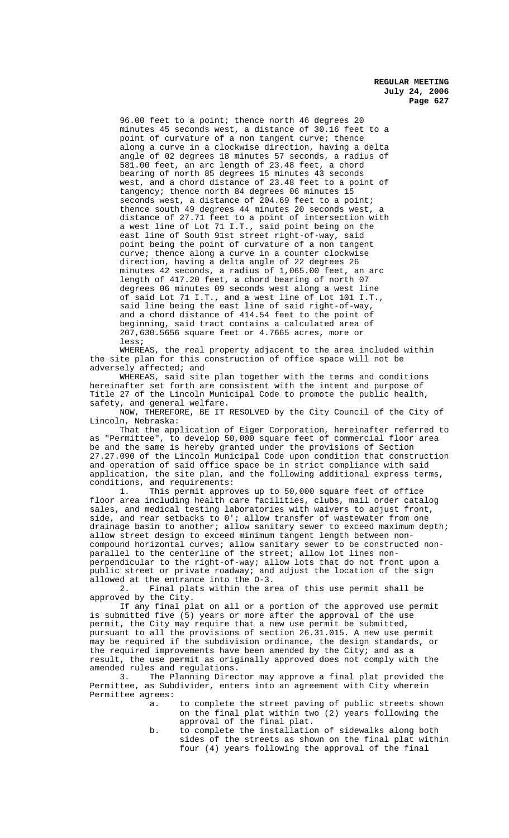96.00 feet to a point; thence north 46 degrees 20 minutes 45 seconds west, a distance of 30.16 feet to a point of curvature of a non tangent curve; thence along a curve in a clockwise direction, having a delta angle of 02 degrees 18 minutes 57 seconds, a radius of 581.00 feet, an arc length of 23.48 feet, a chord bearing of north 85 degrees 15 minutes 43 seconds west, and a chord distance of 23.48 feet to a point of tangency; thence north 84 degrees 06 minutes 15 seconds west, a distance of 204.69 feet to a point; thence south 49 degrees 44 minutes 20 seconds west, a distance of 27.71 feet to a point of intersection with a west line of Lot 71 I.T., said point being on the east line of South 91st street right-of-way, said point being the point of curvature of a non tangent curve; thence along a curve in a counter clockwise direction, having a delta angle of 22 degrees 26 minutes 42 seconds, a radius of 1,065.00 feet, an arc length of 417.20 feet, a chord bearing of north 07 degrees 06 minutes 09 seconds west along a west line of said Lot 71 I.T., and a west line of Lot 101 I.T., said line being the east line of said right-of-way, and a chord distance of 414.54 feet to the point of beginning, said tract contains a calculated area of 207,630.5656 square feet or 4.7665 acres, more or less;

WHEREAS, the real property adjacent to the area included within the site plan for this construction of office space will not be adversely affected; and

WHEREAS, said site plan together with the terms and conditions hereinafter set forth are consistent with the intent and purpose of Title 27 of the Lincoln Municipal Code to promote the public health, safety, and general welfare.

NOW, THEREFORE, BE IT RESOLVED by the City Council of the City of Lincoln, Nebraska:

That the application of Eiger Corporation, hereinafter referred to as "Permittee", to develop 50,000 square feet of commercial floor area be and the same is hereby granted under the provisions of Section 27.27.090 of the Lincoln Municipal Code upon condition that construction and operation of said office space be in strict compliance with said application, the site plan, and the following additional express terms, conditions, and requirements:<br>1. This permit appro

This permit approves up to 50,000 square feet of office floor area including health care facilities, clubs, mail order catalog sales, and medical testing laboratories with waivers to adjust front, side, and rear setbacks to 0'; allow transfer of wastewater from one drainage basin to another; allow sanitary sewer to exceed maximum depth; allow street design to exceed minimum tangent length between noncompound horizontal curves; allow sanitary sewer to be constructed nonparallel to the centerline of the street; allow lot lines nonperpendicular to the right-of-way; allow lots that do not front upon a public street or private roadway; and adjust the location of the sign allowed at the entrance into the O-3.

2. Final plats within the area of this use permit shall be approved by the City.

If any final plat on all or a portion of the approved use permit is submitted five (5) years or more after the approval of the use permit, the City may require that a new use permit be submitted, pursuant to all the provisions of section 26.31.015. A new use permit may be required if the subdivision ordinance, the design standards, or the required improvements have been amended by the City; and as a result, the use permit as originally approved does not comply with the amended rules and regulations.

3. The Planning Director may approve a final plat provided the Permittee, as Subdivider, enters into an agreement with City wherein Permittee agrees:

- a. to complete the street paving of public streets shown on the final plat within two (2) years following the approval of the final plat.
- b. to complete the installation of sidewalks along both sides of the streets as shown on the final plat within four (4) years following the approval of the final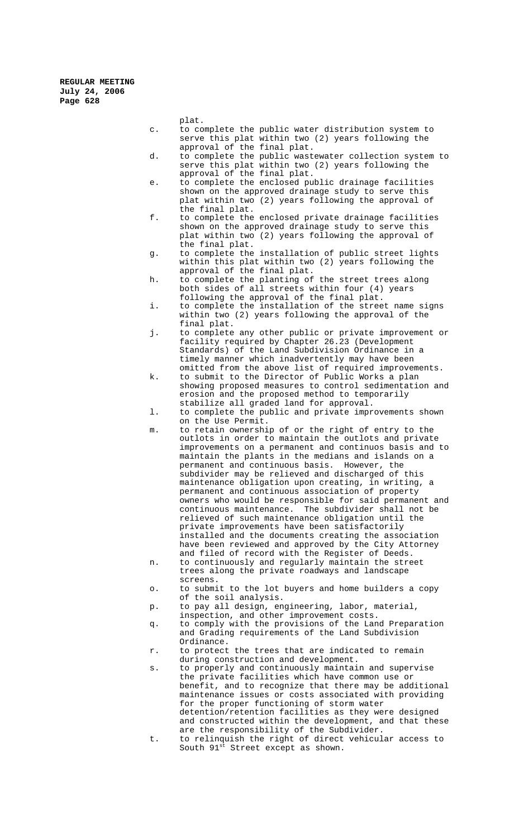- plat. c. to complete the public water distribution system to serve this plat within two (2) years following the approval of the final plat. d. to complete the public wastewater collection system to serve this plat within two (2) years following the approval of the final plat. e. to complete the enclosed public drainage facilities shown on the approved drainage study to serve this plat within two (2) years following the approval of the final plat. f. to complete the enclosed private drainage facilities shown on the approved drainage study to serve this plat within two (2) years following the approval of the final plat. g. to complete the installation of public street lights within this plat within two (2) years following the approval of the final plat. h. to complete the planting of the street trees along both sides of all streets within four (4) years following the approval of the final plat. i. to complete the installation of the street name signs within two (2) years following the approval of the final plat. j. to complete any other public or private improvement or facility required by Chapter 26.23 (Development Standards) of the Land Subdivision Ordinance in a timely manner which inadvertently may have been omitted from the above list of required improvements. k. to submit to the Director of Public Works a plan showing proposed measures to control sedimentation and erosion and the proposed method to temporarily stabilize all graded land for approval. l. to complete the public and private improvements shown on the Use Permit. m. to retain ownership of or the right of entry to the outlots in order to maintain the outlots and private improvements on a permanent and continuos basis and to maintain the plants in the medians and islands on a permanent and continuous basis. However, the subdivider may be relieved and discharged of this maintenance obligation upon creating, in writing, a permanent and continuous association of property owners who would be responsible for said permanent and continuous maintenance. The subdivider shall not be relieved of such maintenance obligation until the private improvements have been satisfactorily installed and the documents creating the association have been reviewed and approved by the City Attorney and filed of record with the Register of Deeds. n. to continuously and regularly maintain the street trees along the private roadways and landscape screens. o. to submit to the lot buyers and home builders a copy of the soil analysis. p. to pay all design, engineering, labor, material, inspection, and other improvement costs. q. to comply with the provisions of the Land Preparation and Grading requirements of the Land Subdivision Ordinance.
	- r. to protect the trees that are indicated to remain during construction and development.

South  $91^{st}$  Street except as shown.

s. to properly and continuously maintain and supervise the private facilities which have common use or benefit, and to recognize that there may be additional maintenance issues or costs associated with providing for the proper functioning of storm water detention/retention facilities as they were designed and constructed within the development, and that these are the responsibility of the Subdivider. t. to relinquish the right of direct vehicular access to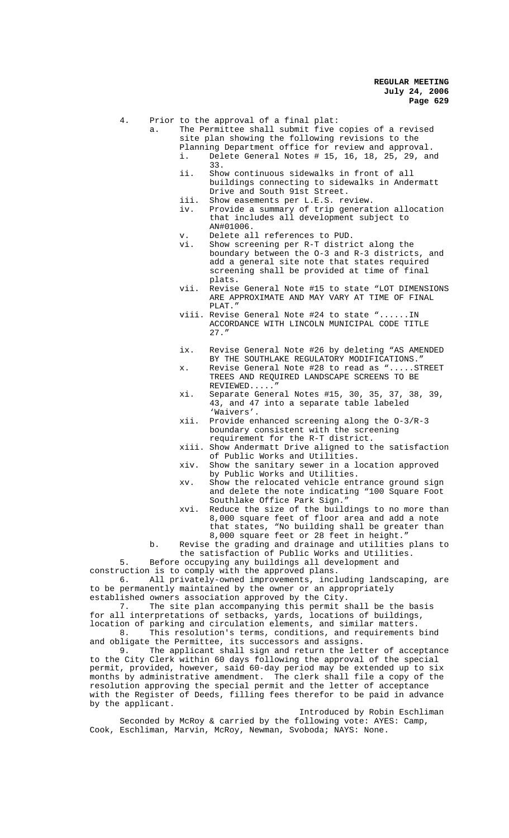4. Prior to the approval of a final plat:

- a. The Permittee shall submit five copies of a revised site plan showing the following revisions to the
	- Planning Department office for review and approval.<br>i. Delete General Notes # 15, 16, 18, 25, 29, an
		- Delete General Notes # 15, 16, 18, 25, 29, and 33.
		- ii. Show continuous sidewalks in front of all buildings connecting to sidewalks in Andermatt Drive and South 91st Street.
		- iii. Show easements per L.E.S. review.
		- iv. Provide a summary of trip generation allocation that includes all development subject to AN#01006.
	- v. Delete all references to PUD.
	- vi. Show screening per R-T district along the boundary between the O-3 and R-3 districts, and add a general site note that states required screening shall be provided at time of final plats.
	- vii. Revise General Note #15 to state "LOT DIMENSIONS ARE APPROXIMATE AND MAY VARY AT TIME OF FINAL  $DT \Delta T$  "
	- viii. Revise General Note #24 to state "......IN ACCORDANCE WITH LINCOLN MUNICIPAL CODE TITLE  $27.$  "
	- ix. Revise General Note #26 by deleting "AS AMENDED BY THE SOUTHLAKE REGULATORY MODIFICATIONS."
	- x. Revise General Note #28 to read as ".....STREET TREES AND REQUIRED LANDSCAPE SCREENS TO BE REVIEWED.....
	- xi. Separate General Notes #15, 30, 35, 37, 38, 39, 43, and 47 into a separate table labeled 'Waivers'.
	- xii. Provide enhanced screening along the O-3/R-3 boundary consistent with the screening requirement for the R-T district.
	- xiii. Show Andermatt Drive aligned to the satisfaction of Public Works and Utilities.
	- xiv. Show the sanitary sewer in a location approved by Public Works and Utilities.
	- xv. Show the relocated vehicle entrance ground sign and delete the note indicating "100 Square Foot Southlake Office Park Sign."
	- xvi. Reduce the size of the buildings to no more than 8,000 square feet of floor area and add a note that states, "No building shall be greater than 8,000 square feet or 28 feet in height."
- b. Revise the grading and drainage and utilities plans to
- the satisfaction of Public Works and Utilities.

5. Before occupying any buildings all development and

construction is to comply with the approved plans.<br>6. All privately-owned improvements, incl All privately-owned improvements, including landscaping, are to be permanently maintained by the owner or an appropriately

established owners association approved by the City.<br>7. The site plan accompanying this permit s The site plan accompanying this permit shall be the basis for all interpretations of setbacks, yards, locations of buildings, location of parking and circulation elements, and similar matters.

8. This resolution's terms, conditions, and requirements bind and obligate the Permittee, its successors and assigns.

9. The applicant shall sign and return the letter of acceptance to the City Clerk within 60 days following the approval of the special permit, provided, however, said 60-day period may be extended up to six months by administrative amendment. The clerk shall file a copy of the resolution approving the special permit and the letter of acceptance with the Register of Deeds, filling fees therefor to be paid in advance by the applicant.

Introduced by Robin Eschliman Seconded by McRoy & carried by the following vote: AYES: Camp, Cook, Eschliman, Marvin, McRoy, Newman, Svoboda; NAYS: None.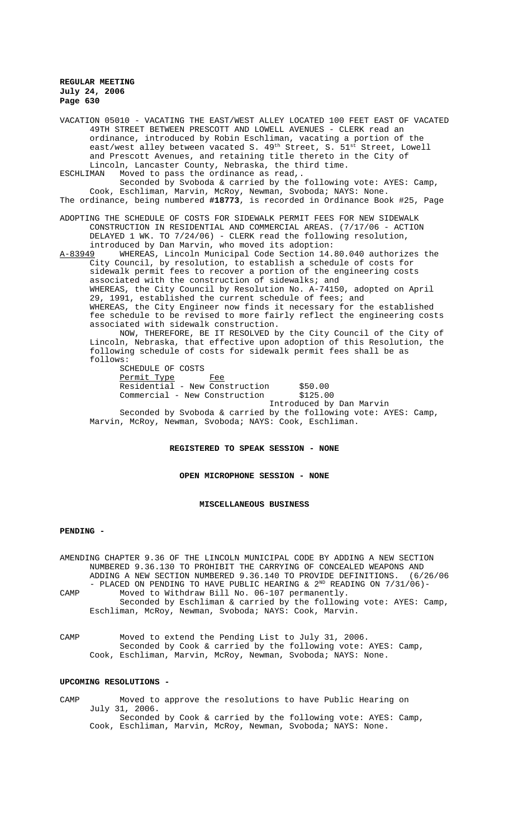VACATION 05010 - VACATING THE EAST/WEST ALLEY LOCATED 100 FEET EAST OF VACATED 49TH STREET BETWEEN PRESCOTT AND LOWELL AVENUES - CLERK read an ordinance, introduced by Robin Eschliman, vacating a portion of the east/west alley between vacated S. 49<sup>th</sup> Street, S. 51<sup>st</sup> Street, Lowell and Prescott Avenues, and retaining title thereto in the City of Lincoln, Lancaster County, Nebraska, the third time.<br>ESCHLIMAN Moved to pass the ordinance as read.. ESCHLIMAN Moved to pass the ordinance as read,. Seconded by Svoboda & carried by the following vote: AYES: Camp, Cook, Eschliman, Marvin, McRoy, Newman, Svoboda; NAYS: None. The ordinance, being numbered **#18773**, is recorded in Ordinance Book #25, Page ADOPTING THE SCHEDULE OF COSTS FOR SIDEWALK PERMIT FEES FOR NEW SIDEWALK CONSTRUCTION IN RESIDENTIAL AND COMMERCIAL AREAS. (7/17/06 - ACTION DELAYED 1 WK. TO 7/24/06) - CLERK read the following resolution, introduced by Dan Marvin, who moved its adoption: A-83949 WHEREAS, Lincoln Municipal Code Section 14.80.040 authorizes the City Council, by resolution, to establish a schedule of costs for sidewalk permit fees to recover a portion of the engineering costs associated with the construction of sidewalks; and WHEREAS, the City Council by Resolution No. A-74150, adopted on April 29, 1991, established the current schedule of fees; and WHEREAS, the City Engineer now finds it necessary for the established fee schedule to be revised to more fairly reflect the engineering costs associated with sidewalk construction. NOW, THEREFORE, BE IT RESOLVED by the City Council of the City of Lincoln, Nebraska, that effective upon adoption of this Resolution, the following schedule of costs for sidewalk permit fees shall be as follows: SCHEDULE OF COSTS<br>Permit Type Permit Type Fee Residential - New Construction \$50.00 Commercial - New Construction \$125.00 Introduced by Dan Marvin Seconded by Svoboda & carried by the following vote: AYES: Camp, Marvin, McRoy, Newman, Svoboda; NAYS: Cook, Eschliman.

# **REGISTERED TO SPEAK SESSION - NONE**

#### **OPEN MICROPHONE SESSION - NONE**

#### **MISCELLANEOUS BUSINESS**

#### **PENDING -**

AMENDING CHAPTER 9.36 OF THE LINCOLN MUNICIPAL CODE BY ADDING A NEW SECTION NUMBERED 9.36.130 TO PROHIBIT THE CARRYING OF CONCEALED WEAPONS AND<br>ADDING A NEW SECTION NUMBERED 9.36.140 TO PROVIDE DEFINITIONS. (6/26/06 ADDING A NEW SECTION NUMBERED 9.36.140 TO PROVIDE DEFINITIONS. - PLACED ON PENDING TO HAVE PUBLIC HEARING &  $2^{ND}$  READING ON  $7/31/06$ )-CAMP Moved to Withdraw Bill No. 06-107 permanently. Seconded by Eschliman & carried by the following vote: AYES: Camp, Eschliman, McRoy, Newman, Svoboda; NAYS: Cook, Marvin.

CAMP Moved to extend the Pending List to July 31, 2006. Seconded by Cook & carried by the following vote: AYES: Camp, Cook, Eschliman, Marvin, McRoy, Newman, Svoboda; NAYS: None.

## **UPCOMING RESOLUTIONS -**

CAMP Moved to approve the resolutions to have Public Hearing on July 31, 2006. Seconded by Cook & carried by the following vote: AYES: Camp, Cook, Eschliman, Marvin, McRoy, Newman, Svoboda; NAYS: None.